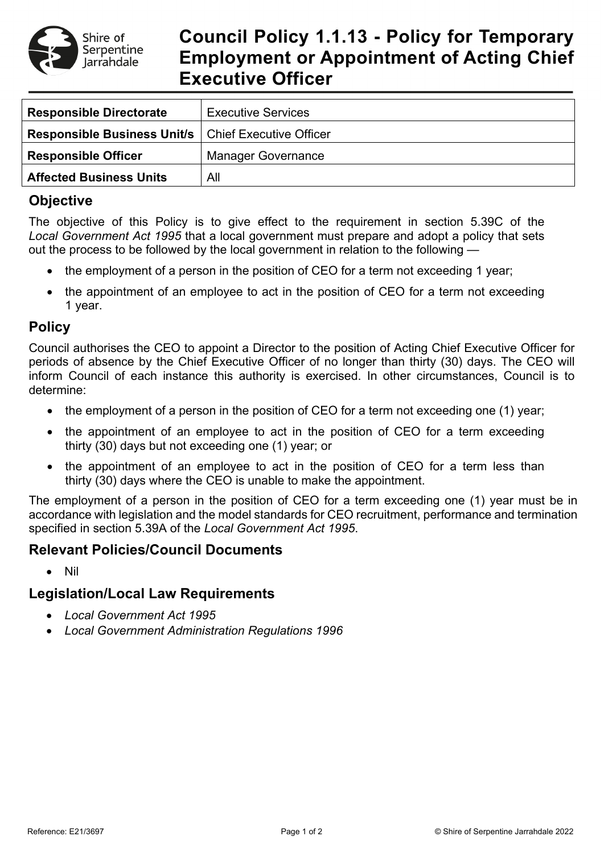

# **Council Policy 1.1.13 - Policy for Temporary Employment or Appointment of Acting Chief Executive Officer**

| <b>Responsible Directorate</b>     | <b>Executive Services</b>      |
|------------------------------------|--------------------------------|
| <b>Responsible Business Unit/s</b> | <b>Chief Executive Officer</b> |
| <b>Responsible Officer</b>         | <b>Manager Governance</b>      |
| <b>Affected Business Units</b>     | All                            |

### **Objective**

The objective of this Policy is to give effect to the requirement in section 5.39C of the *Local Government Act 1995* that a local government must prepare and adopt a policy that sets out the process to be followed by the local government in relation to the following —

- the employment of a person in the position of CEO for a term not exceeding 1 year;
- the appointment of an employee to act in the position of CEO for a term not exceeding 1 year.

### **Policy**

Council authorises the CEO to appoint a Director to the position of Acting Chief Executive Officer for periods of absence by the Chief Executive Officer of no longer than thirty (30) days. The CEO will inform Council of each instance this authority is exercised. In other circumstances, Council is to determine:

- the employment of a person in the position of CEO for a term not exceeding one (1) year;
- the appointment of an employee to act in the position of CEO for a term exceeding thirty (30) days but not exceeding one (1) year; or
- the appointment of an employee to act in the position of CEO for a term less than thirty (30) days where the CEO is unable to make the appointment.

The employment of a person in the position of CEO for a term exceeding one (1) year must be in accordance with legislation and the model standards for CEO recruitment, performance and termination specified in section 5.39A of the *Local Government Act 1995*.

#### **Relevant Policies/Council Documents**

• Nil

## **Legislation/Local Law Requirements**

- *Local Government Act 1995*
- *Local Government Administration Regulations 1996*